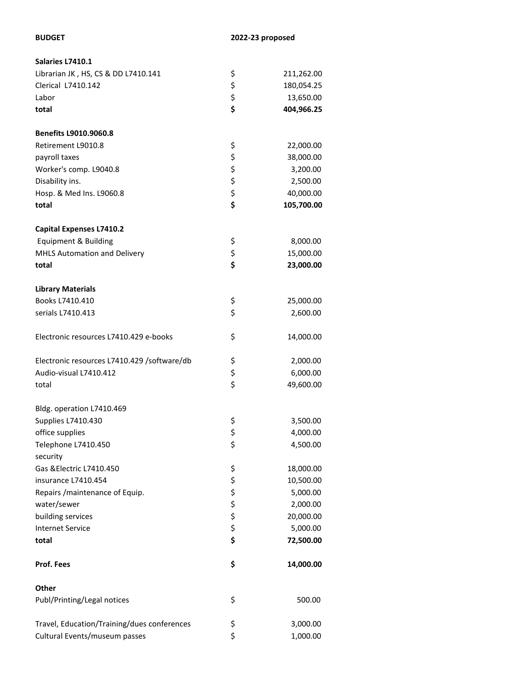| Salaries L7410.1                            |          |            |
|---------------------------------------------|----------|------------|
| Librarian JK, HS, CS & DD L7410.141         | \$       | 211,262.00 |
| Clerical L7410.142                          |          | 180,054.25 |
| Labor                                       | \$\$\$   | 13,650.00  |
| total                                       |          | 404,966.25 |
| <b>Benefits L9010.9060.8</b>                |          |            |
| Retirement L9010.8                          | \$       | 22,000.00  |
| payroll taxes                               |          | 38,000.00  |
| Worker's comp. L9040.8                      | \$\$\$\$ | 3,200.00   |
| Disability ins.                             |          | 2,500.00   |
| Hosp. & Med Ins. L9060.8                    |          | 40,000.00  |
| total                                       |          | 105,700.00 |
| <b>Capital Expenses L7410.2</b>             |          |            |
| Equipment & Building                        | \$       | 8,000.00   |
| MHLS Automation and Delivery                | \$       | 15,000.00  |
| total                                       | \$       | 23,000.00  |
| <b>Library Materials</b>                    |          |            |
| Books L7410.410                             | \$       | 25,000.00  |
| serials L7410.413                           | \$       | 2,600.00   |
|                                             |          |            |
| Electronic resources L7410.429 e-books      | \$       | 14,000.00  |
| Electronic resources L7410.429 /software/db | \$       | 2,000.00   |
| Audio-visual L7410.412                      | \$<br>\$ | 6,000.00   |
| total                                       |          | 49,600.00  |
| Bldg. operation L7410.469                   |          |            |
| Supplies L7410.430                          | \$       | 3,500.00   |
| office supplies                             | \$       | 4,000.00   |
| Telephone L7410.450                         | \$       | 4,500.00   |
| security<br>Gas & Electric L7410.450        | \$       | 18,000.00  |
| insurance L7410.454                         |          | 10,500.00  |
| Repairs / maintenance of Equip.             | ちゃさか     | 5,000.00   |
| water/sewer                                 |          | 2,000.00   |
| building services                           |          | 20,000.00  |
| <b>Internet Service</b>                     |          | 5,000.00   |
| total                                       |          | 72,500.00  |
| Prof. Fees                                  | \$       | 14,000.00  |
| Other                                       |          |            |
| Publ/Printing/Legal notices                 | \$       | 500.00     |
| Travel, Education/Training/dues conferences | \$       | 3,000.00   |
| Cultural Events/museum passes               | \$       | 1,000.00   |